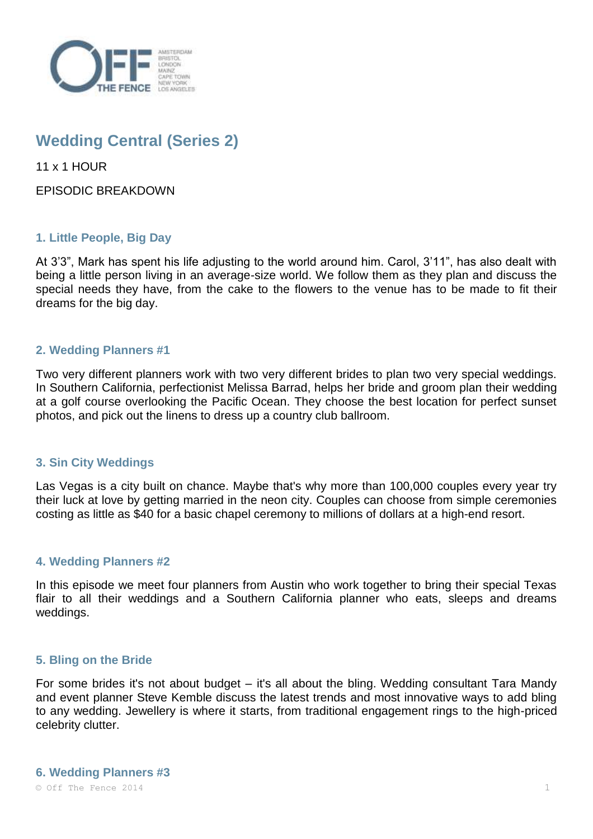

# **Wedding Central (Series 2)**

11 x 1 HOUR

EPISODIC BREAKDOWN

# **1. Little People, Big Day**

At 3'3", Mark has spent his life adjusting to the world around him. Carol, 3'11", has also dealt with being a little person living in an average-size world. We follow them as they plan and discuss the special needs they have, from the cake to the flowers to the venue has to be made to fit their dreams for the big day.

## **2. Wedding Planners #1**

Two very different planners work with two very different brides to plan two very special weddings. In Southern California, perfectionist Melissa Barrad, helps her bride and groom plan their wedding at a golf course overlooking the Pacific Ocean. They choose the best location for perfect sunset photos, and pick out the linens to dress up a country club ballroom.

## **3. Sin City Weddings**

Las Vegas is a city built on chance. Maybe that's why more than 100,000 couples every year try their luck at love by getting married in the neon city. Couples can choose from simple ceremonies costing as little as \$40 for a basic chapel ceremony to millions of dollars at a high-end resort.

### **4. Wedding Planners #2**

In this episode we meet four planners from Austin who work together to bring their special Texas flair to all their weddings and a Southern California planner who eats, sleeps and dreams weddings.

### **5. Bling on the Bride**

For some brides it's not about budget – it's all about the bling. Wedding consultant Tara Mandy and event planner Steve Kemble discuss the latest trends and most innovative ways to add bling to any wedding. Jewellery is where it starts, from traditional engagement rings to the high-priced celebrity clutter.